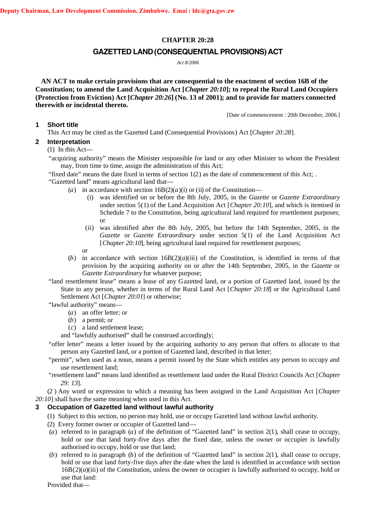### **CHAPTER 20:28**

# **GAZETTED LAND(CONSEQUENTIAL PROVISIONS) ACT**

*Act 8/2006*

**AN ACT to make certain provisions that are consequential to the enactment of section 16B of the Constitution; to amend the Land Acquisition Act [***Chapter 20:10***]; to repeal the Rural Land Occupiers (Protection from Eviction) Act [***Chapter 20:26***] (No. 13 of 2001); and to provide for matters connected therewith or incidental thereto.**

[Date of commencement : 20th December, 2006.]

#### **1 Short title**

This Act may be cited as the Gazetted Land (Consequential Provisions) Act [*Chapter 20:28*].

# **2 Interpretation**

(1) In this Act—

"acquiring authority" means the Minister responsible for land or any other Minister to whom the President may, from time to time, assign the administration of this Act;

"fixed date" means the date fixed in terms of section  $1(2)$  as the date of commencement of this Act; .

"Gazetted land" means agricultural land that—

- (*a*) in accordance with section  $16B(2)(a)(i)$  or (ii) of the Constitution—
	- (i) was identified on or before the 8th July, 2005, in the *Gazette* or *Gazette Extraordinary* under section 5(1) of the Land Acquisition Act [*Chapter 20:10*], and which is itemised in Schedule 7 to the Constitution, being agricultural land required for resettlement purposes; or
	- (ii) was identified after the 8th July, 2005, but before the 14th September, 2005, in the *Gazette* or *Gazette Extraordinary* under section 5(1) of the Land Acquisition Act [*Chapter 20:10*], being agricultural land required for resettlement purposes;
	- or
- (*b*) in accordance with section  $16B(2)(a)(iii)$  of the Constitution, is identified in terms of that provision by the acquiring authority on or after the 14th September, 2005, in the *Gazette* or *Gazette Extraordinary* for whatever purpose;

"land resettlement lease" means a lease of any Gazetted land, or a portion of Gazetted land, issued by the State to any person, whether in terms of the Rural Land Act [*Chapter 20:18*] or the Agricultural Land Settlement Act [*Chapter 20:01*] or otherwise;

"lawful authority" means—

- (*a*) an offer letter; or
- (*b*) a permit; or
- (*c*) a land settlement lease;

and "lawfully authorised" shall be construed accordingly;

- "offer letter" means a letter issued by the acquiring authority to any person that offers to allocate to that person any Gazetted land, or a portion of Gazetted land, described in that letter;
- "permit", when used as a noun, means a permit issued by the State which entitles any person to occupy and use resettlement land;

"resettlement land" means land identified as resettlement land under the Rural District Councils Act [*Chapter 29: 13*].

(2 ) Any word or expression to which a meaning has been assigned in the Land Acquisition Act [*Chapter 20:10*] shall have the same meaning when used in this Act.

## **3 Occupation of Gazetted land without lawful authority**

- (1) Subject to this section, no person may hold, use or occupy Gazetted land without lawful authority.
- (2) Every former owner or occupier of Gazetted land—
- (*a*) referred to in paragraph (*a*) of the definition of "Gazetted land" in section 2(1), shall cease to occupy, hold or use that land forty-five days after the fixed date, unless the owner or occupier is lawfully authorised to occupy, hold or use that land;
- (*b*) referred to in paragraph (*b*) of the definition of "Gazetted land" in section 2(1), shall cease to occupy, hold or use that land forty-five days after the date when the land is identified in accordance with section  $16B(2)(a)(iii)$  of the Constitution, unless the owner or occupier is lawfully authorised to occupy, hold or use that land:

Provided that—